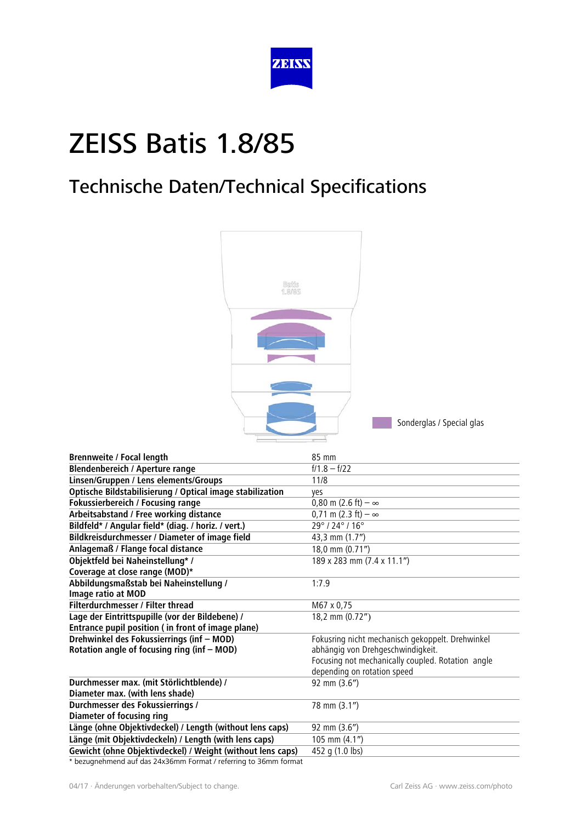

### Technische Daten/Technical Specifications



| <b>Brennweite / Focal length</b>                           | 85 mm                                             |
|------------------------------------------------------------|---------------------------------------------------|
| <b>Blendenbereich / Aperture range</b>                     | $f/1.8 - f/22$                                    |
| Linsen/Gruppen / Lens elements/Groups                      | 11/8                                              |
| Optische Bildstabilisierung / Optical image stabilization  | yes                                               |
| Fokussierbereich / Focusing range                          | 0,80 m (2.6 ft) $-\infty$                         |
| Arbeitsabstand / Free working distance                     | $0,71 \text{ m} (2.3 \text{ ft}) - \infty$        |
| Bildfeld* / Angular field* (diag. / horiz. / vert.)        | 29°/24°/16°                                       |
| Bildkreisdurchmesser / Diameter of image field             | 43,3 mm (1.7")                                    |
| Anlagemaß / Flange focal distance                          | 18,0 mm (0.71")                                   |
| Objektfeld bei Naheinstellung* /                           | 189 x 283 mm (7.4 x 11.1")                        |
| Coverage at close range (MOD)*                             |                                                   |
| Abbildungsmaßstab bei Naheinstellung /                     | 1:7.9                                             |
| Image ratio at MOD                                         |                                                   |
| Filterdurchmesser / Filter thread                          | M67 x 0,75                                        |
| Lage der Eintrittspupille (vor der Bildebene) /            | 18,2 mm (0.72")                                   |
| Entrance pupil position (in front of image plane)          |                                                   |
| Drehwinkel des Fokussierrings (inf - MOD)                  | Fokusring nicht mechanisch gekoppelt. Drehwinkel  |
| Rotation angle of focusing ring (inf - MOD)                | abhängig von Drehgeschwindigkeit.                 |
|                                                            | Focusing not mechanically coupled. Rotation angle |
|                                                            | depending on rotation speed                       |
| Durchmesser max. (mit Störlichtblende) /                   | 92 mm (3.6")                                      |
| Diameter max. (with lens shade)                            |                                                   |
| Durchmesser des Fokussierrings /                           | 78 mm (3.1")                                      |
| <b>Diameter of focusing ring</b>                           |                                                   |
| Länge (ohne Objektivdeckel) / Length (without lens caps)   | 92 mm (3.6")                                      |
| Länge (mit Objektivdeckeln) / Length (with lens caps)      | 105 mm (4.1")                                     |
| Gewicht (ohne Objektivdeckel) / Weight (without lens caps) | 452 g (1.0 lbs)                                   |

\* bezugnehmend auf das 24x36mm Format / referring to 36mm format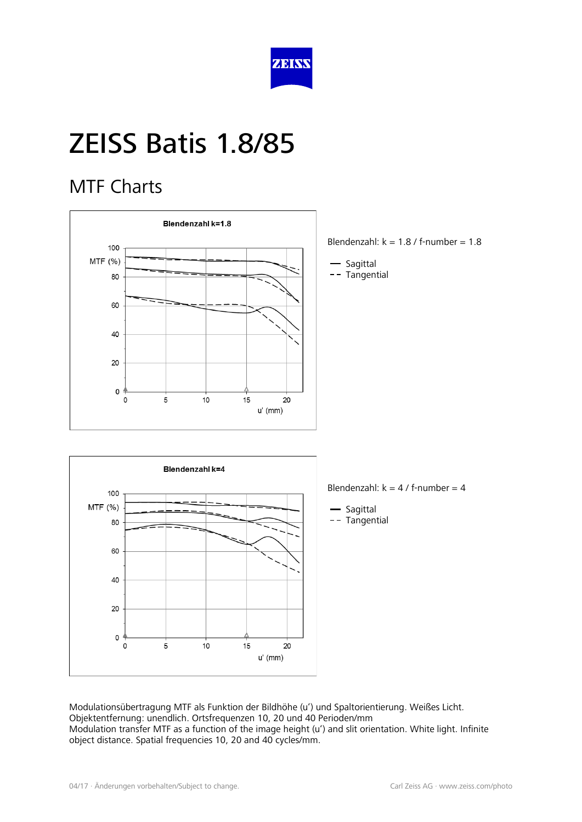

#### MTF Charts



- Blendenzahl:  $k = 1.8$  / f-number = 1.8
- Sagittal
- -- Tangential



Blendenzahl:  $k = 4 / f$ -number = 4

- Sagittal -- Tangential

Modulationsübertragung MTF als Funktion der Bildhöhe (u') und Spaltorientierung. Weißes Licht. Objektentfernung: unendlich. Ortsfrequenzen 10, 20 und 40 Perioden/mm Modulation transfer MTF as a function of the image height (u') and slit orientation. White light. Infinite object distance. Spatial frequencies 10, 20 and 40 cycles/mm.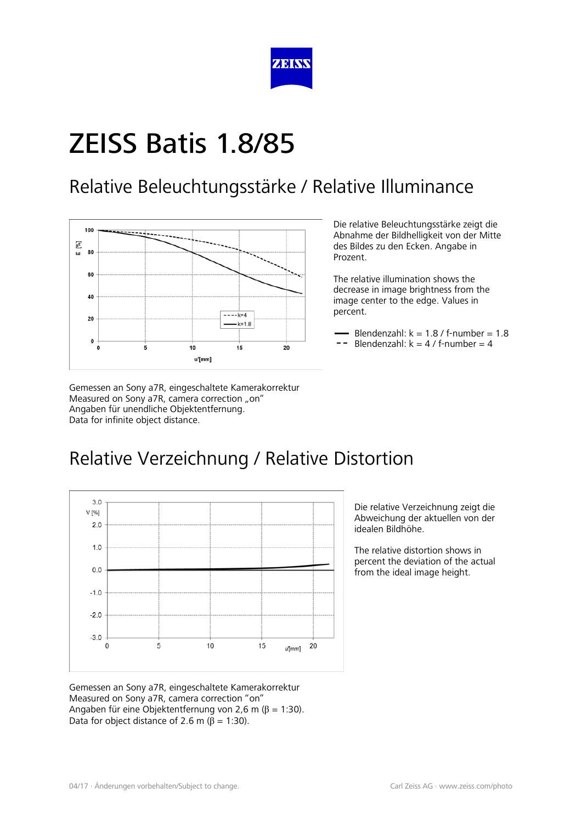

#### Relative Beleuchtungsstärke / Relative Illuminance



Gemessen an Sony a7R, eingeschaltete Kamerakorrektur Measured on Sony a7R, camera correction "on" Angaben für unendliche Objektentfernung. Data for infinite object distance.

Die relative Beleuchtungsstärke zeigt die Abnahme der Bildhelligkeit von der Mitte des Bildes zu den Ecken. Angabe in Prozent.

The relative illumination shows the decrease in image brightness from the image center to the edge. Values in percent.

- Blendenzahl:  $k = 1.8$  / f-number =  $1.8$
- $-$  Blendenzahl:  $k = 4 / f$ -number = 4

### Relative Verzeichnung / Relative Distortion



Die relative Verzeichnung zeigt die Abweichung der aktuellen von der idealen Bildhöhe.

The relative distortion shows in percent the deviation of the actual from the ideal image height.

Gemessen an Sony a7R, eingeschaltete Kamerakorrektur Measured on Sony a7R, camera correction "on" Angaben für eine Objektentfernung von 2,6 m ( $β = 1:30$ ). Data for object distance of 2.6 m ( $\beta$  = 1:30).